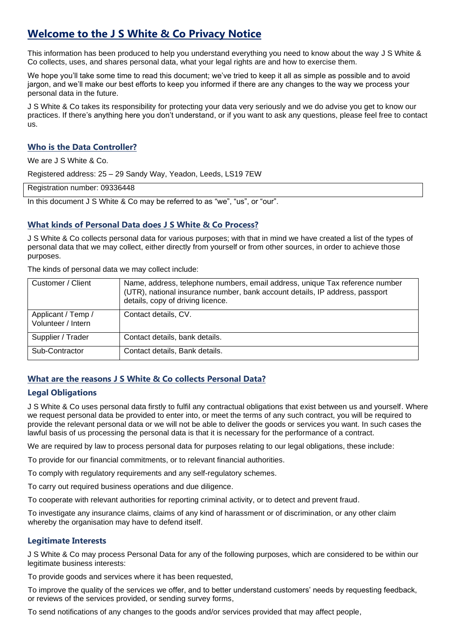# **Welcome to the J S White & Co Privacy Notice**

This information has been produced to help you understand everything you need to know about the way J S White & Co collects, uses, and shares personal data, what your legal rights are and how to exercise them.

We hope you'll take some time to read this document; we've tried to keep it all as simple as possible and to avoid jargon, and we'll make our best efforts to keep you informed if there are any changes to the way we process your personal data in the future.

J S White & Co takes its responsibility for protecting your data very seriously and we do advise you get to know our practices. If there's anything here you don't understand, or if you want to ask any questions, please feel free to contact us.

## **Who is the Data Controller?**

We are J S White & Co.

Registered address: 25 – 29 Sandy Way, Yeadon, Leeds, LS19 7EW

Registration number: 09336448

In this document J S White & Co may be referred to as "we", "us", or "our".

#### **What kinds of Personal Data does J S White & Co Process?**

J S White & Co collects personal data for various purposes; with that in mind we have created a list of the types of personal data that we may collect, either directly from yourself or from other sources, in order to achieve those purposes.

The kinds of personal data we may collect include:

| Customer / Client                        | Name, address, telephone numbers, email address, unique Tax reference number<br>(UTR), national insurance number, bank account details, IP address, passport<br>details, copy of driving licence. |
|------------------------------------------|---------------------------------------------------------------------------------------------------------------------------------------------------------------------------------------------------|
| Applicant / Temp /<br>Volunteer / Intern | Contact details, CV.                                                                                                                                                                              |
| Supplier / Trader                        | Contact details, bank details.                                                                                                                                                                    |
| Sub-Contractor                           | Contact details, Bank details.                                                                                                                                                                    |

# **What are the reasons J S White & Co collects Personal Data?**

## **Legal Obligations**

J S White & Co uses personal data firstly to fulfil any contractual obligations that exist between us and yourself. Where we request personal data be provided to enter into, or meet the terms of any such contract, you will be required to provide the relevant personal data or we will not be able to deliver the goods or services you want. In such cases the lawful basis of us processing the personal data is that it is necessary for the performance of a contract.

We are required by law to process personal data for purposes relating to our legal obligations, these include:

To provide for our financial commitments, or to relevant financial authorities.

To comply with regulatory requirements and any self-regulatory schemes.

To carry out required business operations and due diligence.

To cooperate with relevant authorities for reporting criminal activity, or to detect and prevent fraud.

To investigate any insurance claims, claims of any kind of harassment or of discrimination, or any other claim whereby the organisation may have to defend itself.

#### **Legitimate Interests**

J S White & Co may process Personal Data for any of the following purposes, which are considered to be within our legitimate business interests:

To provide goods and services where it has been requested,

To improve the quality of the services we offer, and to better understand customers' needs by requesting feedback, or reviews of the services provided, or sending survey forms,

To send notifications of any changes to the goods and/or services provided that may affect people,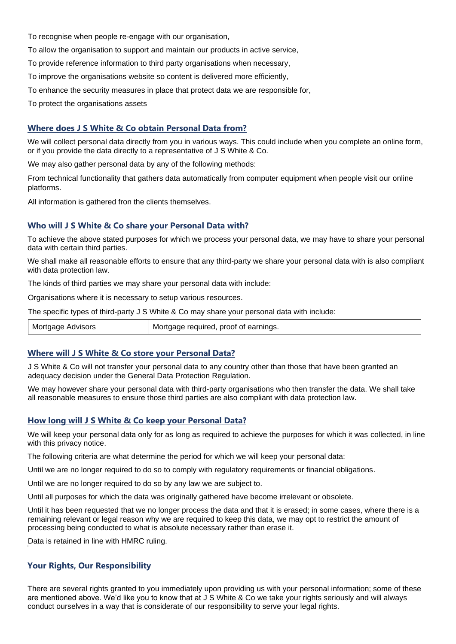To recognise when people re-engage with our organisation,

To allow the organisation to support and maintain our products in active service,

To provide reference information to third party organisations when necessary,

To improve the organisations website so content is delivered more efficiently,

To enhance the security measures in place that protect data we are responsible for,

To protect the organisations assets

#### **Where does J S White & Co obtain Personal Data from?**

We will collect personal data directly from you in various ways. This could include when you complete an online form, or if you provide the data directly to a representative of J S White & Co.

We may also gather personal data by any of the following methods:

From technical functionality that gathers data automatically from computer equipment when people visit our online platforms.

All information is gathered fron the clients themselves.

#### **Who will J S White & Co share your Personal Data with?**

To achieve the above stated purposes for which we process your personal data, we may have to share your personal data with certain third parties.

We shall make all reasonable efforts to ensure that any third-party we share your personal data with is also compliant with data protection law.

The kinds of third parties we may share your personal data with include:

Organisations where it is necessary to setup various resources.

The specific types of third-party J S White & Co may share your personal data with include:

| Mortgage Advisors | Mortgage required, proof of earnings. |
|-------------------|---------------------------------------|
|-------------------|---------------------------------------|

#### **Where will J S White & Co store your Personal Data?**

J S White & Co will not transfer your personal data to any country other than those that have been granted an adequacy decision under the General Data Protection Regulation.

We may however share your personal data with third-party organisations who then transfer the data. We shall take all reasonable measures to ensure those third parties are also compliant with data protection law.

#### **How long will J S White & Co keep your Personal Data?**

We will keep your personal data only for as long as required to achieve the purposes for which it was collected, in line with this privacy notice.

The following criteria are what determine the period for which we will keep your personal data:

Until we are no longer required to do so to comply with regulatory requirements or financial obligations.

Until we are no longer required to do so by any law we are subject to.

Until all purposes for which the data was originally gathered have become irrelevant or obsolete.

Until it has been requested that we no longer process the data and that it is erased; in some cases, where there is a remaining relevant or legal reason why we are required to keep this data, we may opt to restrict the amount of processing being conducted to what is absolute necessary rather than erase it.

Data is retained in line with HMRC ruling.

## **Your Rights, Our Responsibility**

There are several rights granted to you immediately upon providing us with your personal information; some of these are mentioned above. We'd like you to know that at J S White & Co we take your rights seriously and will always conduct ourselves in a way that is considerate of our responsibility to serve your legal rights.